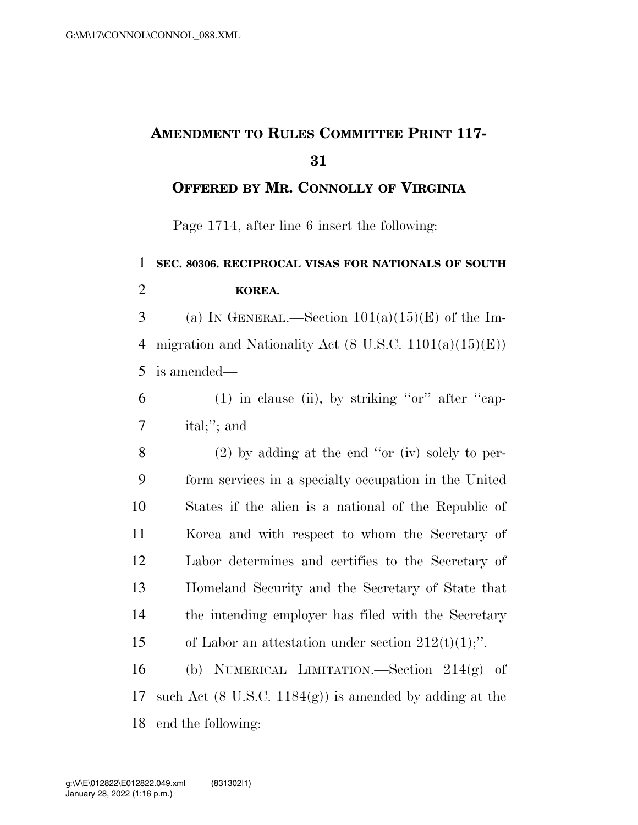## **AMENDMENT TO RULES COMMITTEE PRINT 117- 31**

**OFFERED BY MR. CONNOLLY OF VIRGINIA**

Page 1714, after line 6 insert the following:

## 1 **SEC. 80306. RECIPROCAL VISAS FOR NATIONALS OF SOUTH**  2 **KOREA.**  3 (a) IN GENERAL.—Section  $101(a)(15)(E)$  of the Im-4 migration and Nationality Act  $(8 \text{ U.S.C. } 1101(a)(15)(E))$ 5 is amended—  $6$  (1) in clause (ii), by striking "or" after "cap-7 ital;''; and 8 (2) by adding at the end ''or (iv) solely to per-9 form services in a specialty occupation in the United 10 States if the alien is a national of the Republic of 11 Korea and with respect to whom the Secretary of 12 Labor determines and certifies to the Secretary of 13 Homeland Security and the Secretary of State that 14 the intending employer has filed with the Secretary 15 of Labor an attestation under section  $212(t)(1)$ ;". 16 (b) NUMERICAL LIMITATION.—Section 214(g) of 17 such Act  $(8 \text{ U.S.C. } 1184(g))$  is amended by adding at the

18 end the following: